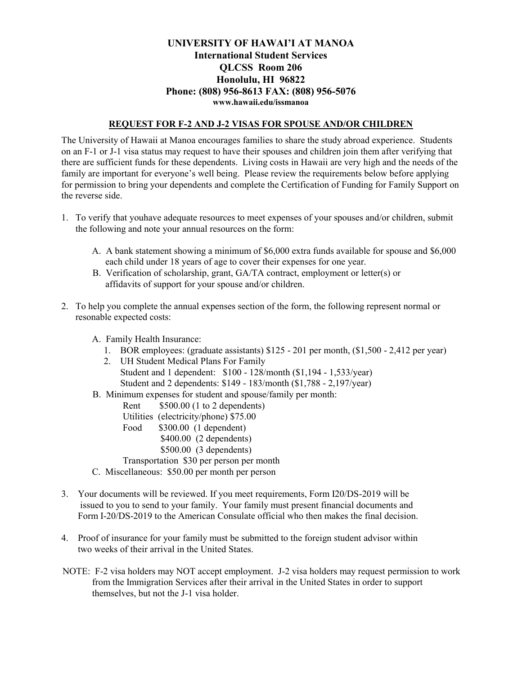## **UNIVERSITY OF HAWAI'I AT MANOA International Student Services QLCSS Room 206 Honolulu, HI 96822 Phone: (808) 956-8613 FAX: (808) 956-5076 www.hawaii.edu/issmanoa**

## **REQUEST FOR F-2 AND J-2 VISAS FOR SPOUSE AND/OR CHILDREN**

The University of Hawaii at Manoa encourages families to share the study abroad experience. Students on an F-1 or J-1 visa status may request to have their spouses and children join them after verifying that there are sufficient funds for these dependents. Living costs in Hawaii are very high and the needs of the family are important for everyone's well being. Please review the requirements below before applying for permission to bring your dependents and complete the Certification of Funding for Family Support on the reverse side.

- 1. To verify that youhave adequate resources to meet expenses of your spouses and/or children, submit the following and note your annual resources on the form:
	- A. A bank statement showing a minimum of \$6,000 extra funds available for spouse and \$6,000 each child under 18 years of age to cover their expenses for one year.
	- B. Verification of scholarship, grant, GA/TA contract, employment or letter(s) or affidavits of support for your spouse and/or children.
- 2. To help you complete the annual expenses section of the form, the following represent normal or resonable expected costs:
	- A. Family Health Insurance:
		- 1. BOR employees: (graduate assistants) \$125 201 per month, (\$1,500 2,412 per year)
		- 2. UH Student Medical Plans For Family Student and 1 dependent: \$100 - 128/month (\$1,194 - 1,533/year) Student and 2 dependents: \$149 - 183/month (\$1,788 - 2,197/year)
	- B. Minimum expenses for student and spouse/family per month:
		- Rent  $$500.00 (1 to 2 depends)$
		- Utilities (electricity/phone) \$75.00
		- Food \$300.00 (1 dependent)
			- \$400.00 (2 dependents)
			- \$500.00 (3 dependents)
		- Transportation \$30 per person per month
	- C. Miscellaneous: \$50.00 per month per person
- 3. Your documents will be reviewed. If you meet requirements, Form I20/DS-2019 will be issued to you to send to your family. Your family must present financial documents and Form I-20/DS-2019 to the American Consulate official who then makes the final decision.
- 4. Proof of insurance for your family must be submitted to the foreign student advisor within two weeks of their arrival in the United States.
- NOTE: F-2 visa holders may NOT accept employment. J-2 visa holders may request permission to work from the Immigration Services after their arrival in the United States in order to support themselves, but not the J-1 visa holder.